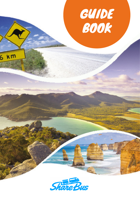



 $6 \text{ km}$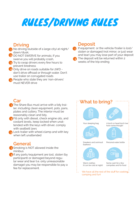# RULES/DRIVING RULES

# **Driving**

- No driving (outside of a large city) at night/ dawn/dusk;
- 2 DO NOT SWERVE for animals; if you swerve you will probably crash,
- **B** Try to swap drivers every few hours to prevent tiredness
- 4 Only drive on roads suitable for 2WD don't drive offroad or through water. Don't use trailer on corrugated roads
- People who state they are 'non-drivers' must NEVER drive

## **Deposit**

If equipment or the vehicle/trailer is lost/ stolen or damaged (not minor, or just wear and tear) you may lose part of your deposit

The deposit will be returned within 2 weeks of the trip ending

# **Car**

- **The Share Bus must arrive with a tidy trai**ler, including clean equipment, pots, pans, plates and cutlery. The interior must be reasonably clean and tidy.
- **P** Fill only with diesel, check engine oils, and coolant levels, keep locked when unattended with the keys with driver, comply with seatbelt laws
- **B** Lock trailer with wheel clamp and with key when left unattended

# **General**

- **Smoking is NOT allowed inside the** minibus
- **2** If any parts/equipment are lost, stolen (by participant) or damaged beyond regular wear and tear (i.e. only unreasonable damage) you may be responsible to pay a fee for replacement.



We have all the rest of the stuff for cooking. camping and fun!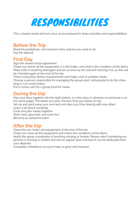

This a shared rental and not a tour so be prepared to share activities and responsibilities:

## **Before the Trip**

Read the guidebook, and research extra activies you want to do Pay the deposit

## **First Day**

Sign the shared rental agreement Check out where all the equipment is in the trailer, and what is the condition of the items. Make note of anything damaged and let us know by the second morning if so, as this will be checked again at the end of the trip Check everyones dietary requirements and make a list of suitable meals

Choose a person responsible for managing the group cash, and people to do the shopping (2-3 to avoid chaos)

Put in some cash for a group fund for meals

### **During the trip**

Plan your days together (do the night before, or a few days in advance so everyone is on the same page). The better you plan, the less time you waste on trip.

Set up and pack away your own tent and sites (you'll be sharing with one other) Learn a lot about camping!

Cook and plan meals together

Work hard, play hard, and have fun!

Become an awesome team

## **After the trip**

Clean the van, trailer and equipment at the end of the trip

Check you have all the equipment and check the conditions of the items

Notify the group coordinator of anything missing or broken. Please note if something expensive is missing or broken (not due to regular wear and tear) it can be deducted from your deposits

Complete a feedback survey to help us grow and improve!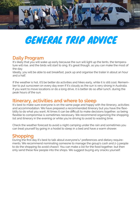

# GENERAL TRIP ADVICE

## **Daily Program**

It's likely that you will wake up early because the sun will light up the tents, the temperature will rise, and the birds will start to sing. It's great though, as you can make the most of the day.

Ideally, you will be able to eat breakfast, pack up and organise the trailer in about an hour and a half.

If the weather is hot, it'll be better do activities and hikes early, while it is still cool. Remember to put sunscreen on every day even if it's cloudy as the sun is very strong in Australia. If you want to move locations or do a long drive, it is better do so after lunch, during the peak hours of the sun.

### **Itinerary, activities and where to sleep**

It's best to make sure everyone is on the same page and happy with the itinerary, activities and accommodation. We have prepared a recommended itinerary but you have the flexibility to do what you want. At times it can be difficult to make decisions together, so being flexible to compromise is sometimes necessary. We recommend organizing the shopping list and itinerary in the evening or while you're driving to avoid to wasting time.

Check the weather forecast to avoid a night camping under the rain and sometimes you can treat yourself by going in a hostel to sleep in a bed and have a warm shower.

# **Shopping**

During the first day it's best to talk about everyone's/ preferences and dietary requirements. We recommend nominating someone to manage the group's cash and 2-3 people to do the shopping (to avoid chaos!). You can make a list for the food together, but then only send these few people into the shops. We suggest buying any snacks yourself.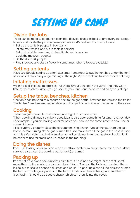

# **Divide the Jobs**

There can be up to 12 people on each trip. To avoid chaos its best to give everyone a regular role and divide the jobs between yourselves. We realised the main jobs are:

- Set up the tents (4 people in two teams)
- Inflate mattresses, and put in tents (1 person)
- Set up the table, benches, kitchen, lights etc (2 people)
- Cook the meal (2-3 people)
- Do the dishes (2 people)
- Find firewood and start a fire (only sometimes, when allowed/available)

### **Setting up tents**

Have two people setting up a tent at a time. Remember to put the tent bag under the tent so it doesn't blow away or go missing in the night. Zip the tents up to stop insects entering

#### **Inflating mattresses**

We have self-inflating mattresses. Put them in your tent, open the valve, and they will inflate by themselves. When you go back to your tent, shut the valve and enjoy your sleep!

## **Setup the table, benches, kitchen**

One table can be used as a cooktop next to the gas bottle, between the van and the trailer. The tables/benches are trestle tables and the gas bottle is always connected to the stove.

# **Cooking**

There is a gas cooker, butane cooker, and a grill to put over a fire.

When cooking dinner, it can be a good idea to also cook something for lunch the next day. For example, if you are boiling water for pasta, you can use the same water to cook rice or something else

Make sure you properly close the gas after making dinner. Turn off the gas from the gas bottle, before turning off the gas burner. This is to make sure all the gas in the hose is used and it is safer. Note that the butane burner will be slower than the gas stove, but it might be easier to use for small jobs (i.e. coffee in the morning)

## **Doing the dishes**

If you use boiling water you can keep the leftover water in a bucket to do the dishes. Make sure you also clean the cooking equipment (i.e. burner)

### **Packing up**

Its easiest if everyone packs up their own tent. If it's rained overnight, or the tent is wet move them to the sun to dry so mold doesn't form. To clean the tents you can turn them ínside-out to shake it or use a dustpan and brush. To pack up,close all the zips and stretch the tent out in a large square. Fold the tent in thrids over the centre square, and then in 3rds again. It should be a square shape, which can then fit into the cover.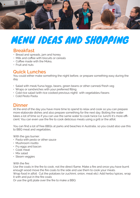

# MENU IDEAS AND SHOPPING

### **Breakfast**

- Bread and spreads, jam and honey
- Milk and coffee with biscuits or cereals
- Coffee made with the Moka,
- Fruit and nuts

### **Quick Lunches**

You could either make something the night before, or prepare something easy during the day

- Salad with meat/tuna/eggs, beans, green beans or other canned/fresh veg
- Wraps or sandwiches with your preferred filling
- Cold rice salad (with rice cooked previous night) with vegetables/beans
- Cold Pesto Pasta.

#### **Dinner**

At the end of the day you have more time to spend to relax and cook so you can prepare more elaborate dishes and also prepare something for the next day. Boiling the water takes a lot of time so if you can use the same water to cook twice (i.e. lunch) it's more efficient. You can even use the fire to cook delicious meals using a grill or the alfoil.

You can find a lot of free BBQs at parks and beaches in Australia, so you could also use this to BBQ meat and vegetables.

With the gas burner:

- Pasta with pesto or other sauce
- Mushroom risotto
- Fry eggs and bacon
- Cook meat
- Mix salad
- Steam veggies

With the fire:

Use the coals in the fire to cook, not the direct flame. Make a fire and once you have burnt enough wood move the fire coals to the side and use them to cook your meals. Wrap food in alfoil: Cut the potatoes (or zuchinni, onion, meat etc). Add herbs/spices, wrap it with and put in the fire coals

Or use the grill plate over the fire to make a BBQ.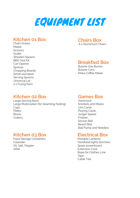

#### **Kitchen 01 Box**

Chefs Knives Peeler **Scissors** Grater Wooden Spoons BBQ Tool Kit Can Opener Spatula Chopping Boards Small saucepan Serving Spoons Universal Lid 2 x Frying Pans

# **Chairs Box**

6 x Aluminium Chairs

## **Breakfast Box**

Butane Gas Burner Butane Cans Moka Coffee Maker

#### **Kitchen 02 Box**

Large Serving Bowl Large Multicooker (for steaming/boiling) **Cups** Plates Bowls **Cutlery** 

# **Kitchen 03 Box**

Food Storage Containers Colander Oil, Salt, Pepper Alfoil

#### **Games Box**

Hammock Snorkels and Masks Uno Cards Playing Cards Jungle Speed Frisbee Soccer Ball Beach Ball Ball Pump and Needles

### **Electrical Box**

Portable Lanterns Handheld lights (torches) Spare powerboard Extension Cord Rope for Clothes Line **Tape** Cable Ties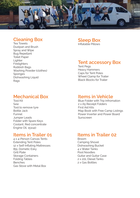

### **Cleaning Box**

Tea Towels Dustpan and Brush Spray and Wipe Bug Repellant Toilet Paper Lighter **Firelighters** Rubbish Bags Washing Powder (clothes) Sponges Dishwashing Liquid Rags

# **Mechanical Box**

Tool Kit Saw Tool to remove tyre Bottle Jack Funnel Jumper Leads Folder with Spare Keys Coolant, Red concentrate Engine Oil, 15w40

# **Items in Trailer 01**

4 x 4-Person Canvas Tents Extending Tent Poles 12 x Self-Inflating Mattresses 85L Dometic Esky Grill Plate Storage Containers Folding Tables Benches Gas Stove with Metal Box

#### **Sleep Box** Inflatable Pillows

## **Tent accessory Box**

Tent Pegs Heavy Hammers Caps for Tent Poles Wheel Clamp for Trailer Black Blocks for Trailer

## **Items in Vehicle**

Blue Folder with Trip Infromation 2 x A5 Receipt Folders First Aid Kits Map Book with Free Camp Listings Power Inverter and Power Board Sunscreen

## **Items in Trailer 02**

Broom Camping Shovel Dishwashing Bucket 4 x Water Tanks Pool Noodles Guitar and Guitar Case 2 x 20L Diesel Tanks 2 x Gas Bottles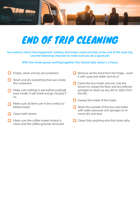

# END OF TRIP CLEANING

**You need to return the equipment, minibus and trailer clean and tidy at the end of the road trip. Use the following checklist to make sure you do a good job!**

**With the whole group working together this should take about 1-2 hours**

| Empty, clean and dry all containers                                                             | Remove all the food from the fridge, wash<br>it with soap and water and dry it.    |
|-------------------------------------------------------------------------------------------------|------------------------------------------------------------------------------------|
| Wash and dry everything that was inside<br>the containers.                                      | Clean the bus inside and out. Use the<br>broom to sweep the floor and any leftover |
| Make sure nothing is wet before puttingit<br>back inside. It will smell and go mouldy if<br>SO. | sponges to clean up any dirt or spills from<br>the fall.                           |
|                                                                                                 | Sweep the inside of the trailer                                                    |
| Make sure all items are in the correct la-<br>belled boxes                                      | Wash the outside of the bus and trailer<br>with water pressure and sponges to re-  |
| Clean both stoves                                                                               | move dirt and dust                                                                 |
| Make sure the coffee maker (moka) is<br>clean and the coffee grounds removed                    | Clean/tidy anything else that looks dirty                                          |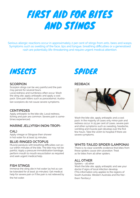

Serious allergic reactions occur in approximately 2 per cent of stings from ants, bees and wasps. Symptoms such as swelling of the face, lips and tongue, breathing difficulties or a generalised rash are potentially life-threatening and require urgent medical attention.



#### **SCORPION**

Scorpion stings can be very painful and the pain may persist for several hours.

Local redness and numbness often occur. Wash the sting site; apply antiseptic and apply a cool pack. Give pain killers such as paracetamol. Australian scorpions do not cause severe symptoms.

#### **CENTIPEDES**

Apply antiseptic to the bite site. Local redness, itching and pain are common. Severe pain is sometimes experienced.

#### **MARINE JELLYFISH (NON-TROPI-**

#### **CAL)**

.

Apply vinegar or Stingose then shower in hot water for at least 15 minutes.

#### **BLUE-RINGED OCTOPUS**

Muscle paralysis with breathing difficulties can occur within minutes of the bite. The bite may not be painful. Apply a pressure immobilisation bandage, perform mouth to mouth resuscitation as required and seek urgent medical help.

#### **FISH STINGS**

Immerse the sting site in hot water (as hot as can be tolerated for at least 30 minutes). Get medical help for severe pain or if the pain is not relieved by the hot water.



#### **REDBACK**



Wash the bite site, apply antiseptic and a cool pack. In the majority of cases only minor pain and redness occur. In 25 per cent of cases, severe pain and other symptoms such as sweating, headache, vomiting and muscle pain develop over the first few hours. Take the victim to hospital if there are severe symptoms.

#### **WHITE-TAILED SPIDER (LAMPONA)**

There is no clear scientific evidence that bites from these spiders cause skin ulceration. Treat as for bites from all other spiders.

#### **ALL OTHER**

Spiders – all other Wash the bite site, apply antiseptic and see your doctor if signs of local infection develop. (This information only applies to the regions of South Australia, Western Australia and the Northern Territory.)